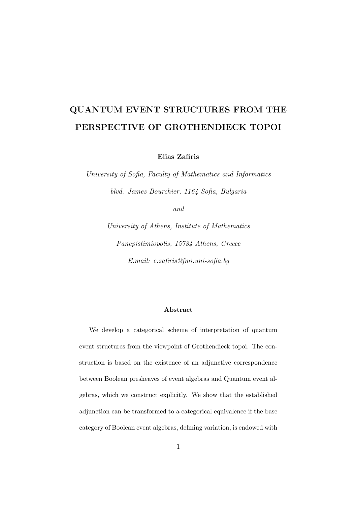### QUANTUM EVENT STRUCTURES FROM THE PERSPECTIVE OF GROTHENDIECK TOPOI

Elias Zafiris

University of Sofia, Faculty of Mathematics and Informatics blvd. James Bourchier, 1164 Sofia, Bulgaria

and

University of Athens, Institute of Mathematics Panepistimiopolis, 15784 Athens, Greece E.mail: e.zafiris@fmi.uni-sofia.bg

#### Abstract

We develop a categorical scheme of interpretation of quantum event structures from the viewpoint of Grothendieck topoi. The construction is based on the existence of an adjunctive correspondence between Boolean presheaves of event algebras and Quantum event algebras, which we construct explicitly. We show that the established adjunction can be transformed to a categorical equivalence if the base category of Boolean event algebras, defining variation, is endowed with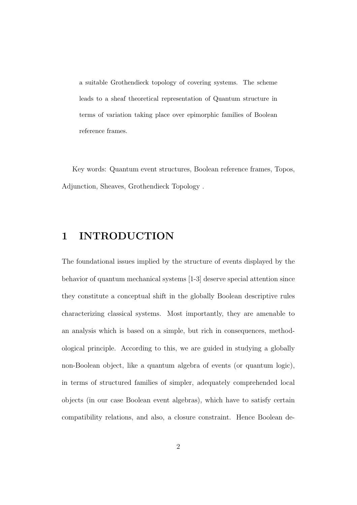a suitable Grothendieck topology of covering systems. The scheme leads to a sheaf theoretical representation of Quantum structure in terms of variation taking place over epimorphic families of Boolean reference frames.

Key words: Quantum event structures, Boolean reference frames, Topos, Adjunction, Sheaves, Grothendieck Topology .

### 1 INTRODUCTION

The foundational issues implied by the structure of events displayed by the behavior of quantum mechanical systems [1-3] deserve special attention since they constitute a conceptual shift in the globally Boolean descriptive rules characterizing classical systems. Most importantly, they are amenable to an analysis which is based on a simple, but rich in consequences, methodological principle. According to this, we are guided in studying a globally non-Boolean object, like a quantum algebra of events (or quantum logic), in terms of structured families of simpler, adequately comprehended local objects (in our case Boolean event algebras), which have to satisfy certain compatibility relations, and also, a closure constraint. Hence Boolean de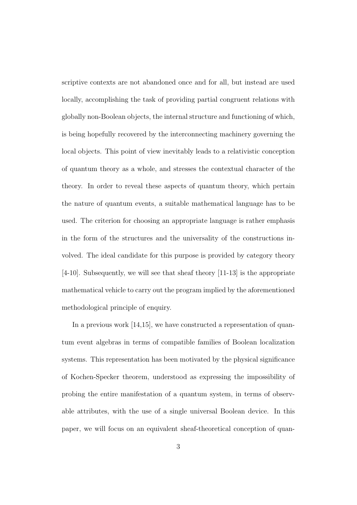scriptive contexts are not abandoned once and for all, but instead are used locally, accomplishing the task of providing partial congruent relations with globally non-Boolean objects, the internal structure and functioning of which, is being hopefully recovered by the interconnecting machinery governing the local objects. This point of view inevitably leads to a relativistic conception of quantum theory as a whole, and stresses the contextual character of the theory. In order to reveal these aspects of quantum theory, which pertain the nature of quantum events, a suitable mathematical language has to be used. The criterion for choosing an appropriate language is rather emphasis in the form of the structures and the universality of the constructions involved. The ideal candidate for this purpose is provided by category theory [4-10]. Subsequently, we will see that sheaf theory [11-13] is the appropriate mathematical vehicle to carry out the program implied by the aforementioned methodological principle of enquiry.

In a previous work [14,15], we have constructed a representation of quantum event algebras in terms of compatible families of Boolean localization systems. This representation has been motivated by the physical significance of Kochen-Specker theorem, understood as expressing the impossibility of probing the entire manifestation of a quantum system, in terms of observable attributes, with the use of a single universal Boolean device. In this paper, we will focus on an equivalent sheaf-theoretical conception of quan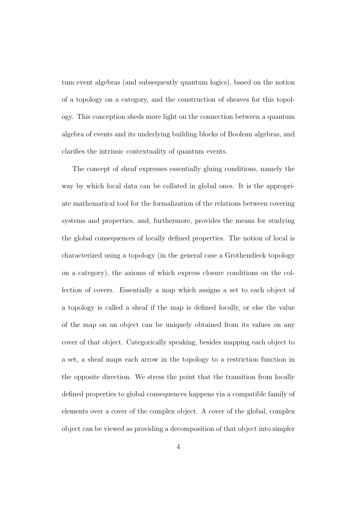tum event algebras (and subsequently quantum logics), based on the notion of a topology on a category, and the construction of sheaves for this topology. This conception sheds more light on the connection between a quantum algebra of events and its underlying building blocks of Boolean algebras, and clarifies the intrinsic contextuality of quantum events.

The concept of sheaf expresses essentially gluing conditions, namely the way by which local data can be collated in global ones. It is the appropriate mathematical tool for the formalization of the relations between covering systems and properties, and, furthermore, provides the means for studying the global consequences of locally defined properties. The notion of local is characterized using a topology (in the general case a Grothendieck topology on a category), the axioms of which express closure conditions on the collection of covers. Essentially a map which assigns a set to each object of a topology is called a sheaf if the map is defined locally, or else the value of the map on an object can be uniquely obtained from its values on any cover of that object. Categorically speaking, besides mapping each object to a set, a sheaf maps each arrow in the topology to a restriction function in the opposite direction. We stress the point that the transition from locally defined properties to global consequences happens via a compatible family of elements over a cover of the complex object. A cover of the global, complex object can be viewed as providing a decomposition of that object into simpler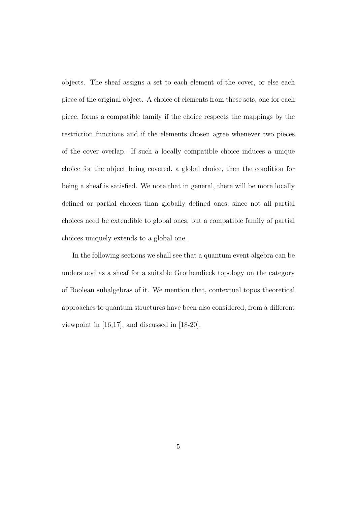objects. The sheaf assigns a set to each element of the cover, or else each piece of the original object. A choice of elements from these sets, one for each piece, forms a compatible family if the choice respects the mappings by the restriction functions and if the elements chosen agree whenever two pieces of the cover overlap. If such a locally compatible choice induces a unique choice for the object being covered, a global choice, then the condition for being a sheaf is satisfied. We note that in general, there will be more locally defined or partial choices than globally defined ones, since not all partial choices need be extendible to global ones, but a compatible family of partial choices uniquely extends to a global one.

In the following sections we shall see that a quantum event algebra can be understood as a sheaf for a suitable Grothendieck topology on the category of Boolean subalgebras of it. We mention that, contextual topos theoretical approaches to quantum structures have been also considered, from a different viewpoint in [16,17], and discussed in [18-20].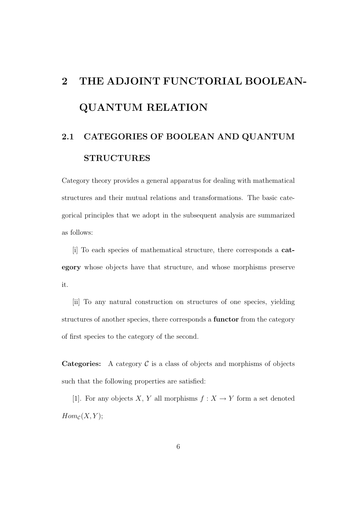# 2 THE ADJOINT FUNCTORIAL BOOLEAN-QUANTUM RELATION

## 2.1 CATEGORIES OF BOOLEAN AND QUANTUM STRUCTURES

Category theory provides a general apparatus for dealing with mathematical structures and their mutual relations and transformations. The basic categorical principles that we adopt in the subsequent analysis are summarized as follows:

[i] To each species of mathematical structure, there corresponds a category whose objects have that structure, and whose morphisms preserve it.

[ii] To any natural construction on structures of one species, yielding structures of another species, there corresponds a functor from the category of first species to the category of the second.

**Categories:** A category  $\mathcal C$  is a class of objects and morphisms of objects such that the following properties are satisfied:

[1]. For any objects X, Y all morphisms  $f: X \to Y$  form a set denoted  $Hom_{\mathcal{C}}(X, Y);$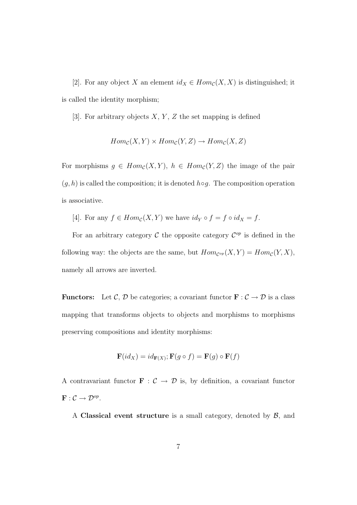[2]. For any object X an element  $id_X \in Hom_{\mathcal{C}}(X, X)$  is distinguished; it is called the identity morphism;

[3]. For arbitrary objects  $X, Y, Z$  the set mapping is defined

$$
Hom_{\mathcal{C}}(X,Y) \times Hom_{\mathcal{C}}(Y,Z) \to Hom_{\mathcal{C}}(X,Z)
$$

For morphisms  $g \in Hom_{\mathcal{C}}(X, Y), h \in Hom_{\mathcal{C}}(Y, Z)$  the image of the pair  $(g, h)$  is called the composition; it is denoted  $h \circ g$ . The composition operation is associative.

[4]. For any  $f \in Hom_{\mathcal{C}}(X, Y)$  we have  $id_Y \circ f = f \circ id_X = f$ .

For an arbitrary category  $\mathcal C$  the opposite category  $\mathcal C^{op}$  is defined in the following way: the objects are the same, but  $Hom_{\mathcal{C}^{op}}(X,Y) = Hom_{\mathcal{C}}(Y,X)$ , namely all arrows are inverted.

**Functors:** Let C, D be categories; a covariant functor  $\mathbf{F} : \mathcal{C} \to \mathcal{D}$  is a class mapping that transforms objects to objects and morphisms to morphisms preserving compositions and identity morphisms:

$$
\mathbf{F}(id_X) = id_{\mathbf{F}(X)}; \mathbf{F}(g \circ f) = \mathbf{F}(g) \circ \mathbf{F}(f)
$$

A contravariant functor  $\mathbf{F} : \mathcal{C} \to \mathcal{D}$  is, by definition, a covariant functor  $\mathbf{F}: \mathcal{C} \to \mathcal{D}^{op}.$ 

A Classical event structure is a small category, denoted by  $\beta$ , and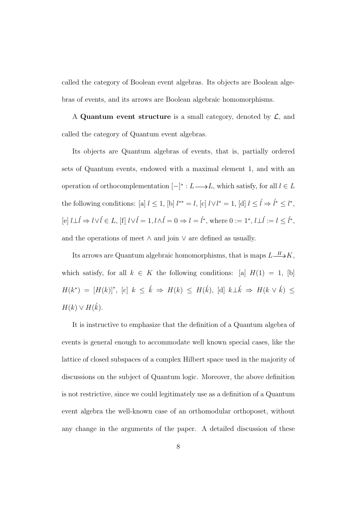called the category of Boolean event algebras. Its objects are Boolean algebras of events, and its arrows are Boolean algebraic homomorphisms.

A Quantum event structure is a small category, denoted by  $\mathcal{L}$ , and called the category of Quantum event algebras.

Its objects are Quantum algebras of events, that is, partially ordered sets of Quantum events, endowed with a maximal element 1, and with an operation of orthocomplementation  $[-]^* : L \longrightarrow L$ , which satisfy, for all  $l \in L$ the following conditions: [a]  $l \leq 1$ , [b]  $l^{**} = l$ , [c]  $l \vee l^* = 1$ , [d]  $l \leq \hat{l} \Rightarrow \hat{l}^* \leq l^*$ , [e]  $l \perp \hat{l} \Rightarrow l \lor \hat{l} \in L$ , [f]  $l \lor \hat{l} = 1, l \land \hat{l} = 0 \Rightarrow l = \hat{l}^*$ , where  $0 := 1^*, l \perp \hat{l} := l \leq \hat{l}^*$ , and the operations of meet  $\wedge$  and join  $\vee$  are defined as usually.

Its arrows are Quantum algebraic homomorphisms, that is maps  $L \rightarrow K$ , which satisfy, for all  $k \in K$  the following conditions: [a]  $H(1) = 1$ , [b]  $H(k^*) = [H(k)]^*,$  [c]  $k \leq \hat{k} \Rightarrow H(k) \leq H(\hat{k}),$  [d]  $k \perp \hat{k} \Rightarrow H(k \vee \hat{k}) \leq$  $H(k) \vee H(k)$ .

It is instructive to emphasize that the definition of a Quantum algebra of events is general enough to accommodate well known special cases, like the lattice of closed subspaces of a complex Hilbert space used in the majority of discussions on the subject of Quantum logic. Moreover, the above definition is not restrictive, since we could legitimately use as a definition of a Quantum event algebra the well-known case of an orthomodular orthoposet, without any change in the arguments of the paper. A detailed discussion of these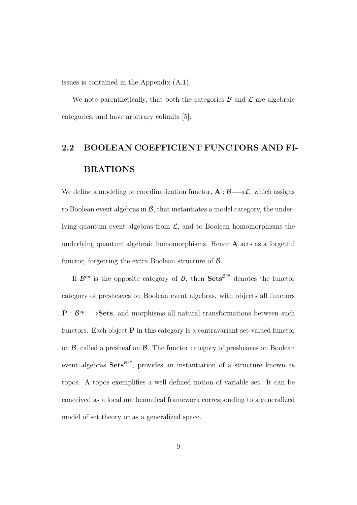issues is contained in the Appendix (A.1).

We note parenthetically, that both the categories  $\beta$  and  $\beta$  are algebraic categories, and have arbitrary colimits [5].

## 2.2 BOOLEAN COEFFICIENT FUNCTORS AND FI-BRATIONS

We define a modeling or coordinatization functor,  $A : \mathcal{B} \longrightarrow \mathcal{L}$ , which assigns to Boolean event algebras in  $\mathcal{B}$ , that instantiates a model category, the underlying quantum event algebras from  $\mathcal{L}$ , and to Boolean homomorphisms the underlying quantum algebraic homomorphisms. Hence A acts as a forgetful functor, forgetting the extra Boolean structure of  $\beta$ .

If  $\mathcal{B}^{op}$  is the opposite category of  $\mathcal{B}$ , then  $\mathbf{Sets}^{\mathcal{B}^{op}}$  denotes the functor category of presheaves on Boolean event algebras, with objects all functors  $P : B^{op} \longrightarrow$ **Sets**, and morphisms all natural transformations between such functors. Each object  $P$  in this category is a contravariant set-valued functor on  $\beta$ , called a presheaf on  $\beta$ . The functor category of presheaves on Boolean event algebras  $Sets^{\beta^{op}}$ , provides an instantiation of a structure known as topos. A topos exemplifies a well defined notion of variable set. It can be conceived as a local mathematical framework corresponding to a generalized model of set theory or as a generalized space.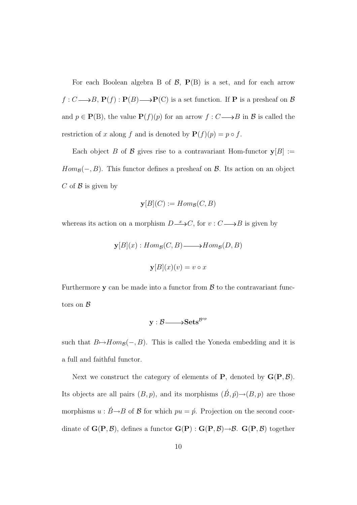For each Boolean algebra B of  $\mathcal{B}$ ,  $P(B)$  is a set, and for each arrow  $f: C \longrightarrow B$ ,  $P(f): P(B) \longrightarrow P(C)$  is a set function. If P is a presheaf on B and  $p \in \mathbf{P}(\mathbf{B})$ , the value  $\mathbf{P}(f)(p)$  for an arrow  $f: C \longrightarrow B$  in  $\mathcal B$  is called the restriction of x along f and is denoted by  $P(f)(p) = p \circ f$ .

Each object B of B gives rise to a contravariant Hom-functor  $y[B] :=$  $Hom_{\mathcal{B}}(-, B)$ . This functor defines a presheaf on  $\mathcal{B}$ . Its action on an object C of  $\beta$  is given by

$$
\mathbf{y}[B](C) := Hom_{\mathcal{B}}(C, B)
$$

whereas its action on a morphism  $D \longrightarrow C$ , for  $v : C \longrightarrow B$  is given by

$$
\mathbf{y}[B](x) : Hom_{\mathcal{B}}(C, B) \longrightarrow Hom_{\mathcal{B}}(D, B)
$$

$$
\mathbf{y}[B](x)(v) = v \circ x
$$

Furthermore  $y$  can be made into a functor from  $\beta$  to the contravariant functors on  $\beta$ 

$$
\text{y}: \mathcal{B}{\longrightarrow} \text{Sets}^{\mathcal{B}^{op}}
$$

such that  $B\rightarrow Hom_{\mathcal{B}}(-, B)$ . This is called the Yoneda embedding and it is a full and faithful functor.

Next we construct the category of elements of **P**, denoted by  $G(P, \mathcal{B})$ . Its objects are all pairs  $(B, p)$ , and its morphisms  $(\acute{B}, \acute{p}) \rightarrow (B, p)$  are those morphisms  $u : \acute{B} \rightarrow B$  of  $\mathcal{B}$  for which  $pu = \acute{p}$ . Projection on the second coordinate of  $\mathbf{G}(\mathbf{P}, \mathcal{B})$ , defines a functor  $\mathbf{G}(\mathbf{P}) : \mathbf{G}(\mathbf{P}, \mathcal{B}) \rightarrow \mathcal{B}$ .  $\mathbf{G}(\mathbf{P}, \mathcal{B})$  together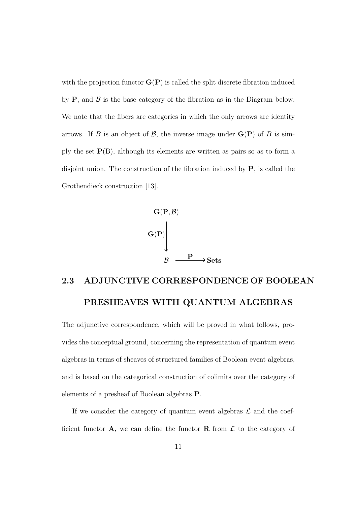with the projection functor  $\mathbf{G}(\mathbf{P})$  is called the split discrete fibration induced by  $P$ , and  $\beta$  is the base category of the fibration as in the Diagram below. We note that the fibers are categories in which the only arrows are identity arrows. If B is an object of B, the inverse image under  $\mathbf{G}(\mathbf{P})$  of B is simply the set  $P(B)$ , although its elements are written as pairs so as to form a disjoint union. The construction of the fibration induced by P, is called the Grothendieck construction [13].



## 2.3 ADJUNCTIVE CORRESPONDENCE OF BOOLEAN PRESHEAVES WITH QUANTUM ALGEBRAS

The adjunctive correspondence, which will be proved in what follows, provides the conceptual ground, concerning the representation of quantum event algebras in terms of sheaves of structured families of Boolean event algebras, and is based on the categorical construction of colimits over the category of elements of a presheaf of Boolean algebras P.

If we consider the category of quantum event algebras  $\mathcal L$  and the coefficient functor  $\mathbf{A}$ , we can define the functor  $\mathbf{R}$  from  $\mathcal{L}$  to the category of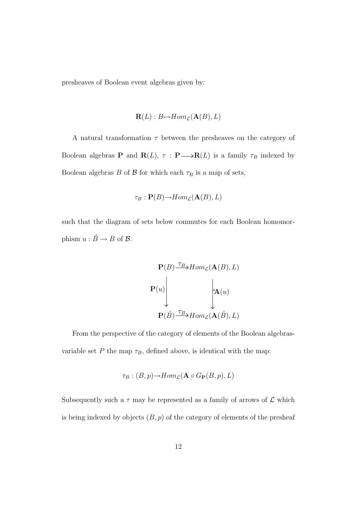presheaves of Boolean event algebras given by:

$$
\mathbf{R}(L): B \mapsto Hom_{\mathcal{L}}(\mathbf{A}(B), L)
$$

A natural transformation  $\tau$  between the presheaves on the category of Boolean algebras **P** and  $\mathbf{R}(L)$ ,  $\tau : \mathbf{P} \longrightarrow \mathbf{R}(L)$  is a family  $\tau_B$  indexed by Boolean algebras B of  $\beta$  for which each  $\tau_B$  is a map of sets,

$$
\tau_B: \mathbf{P}(B) {\rightarrow} Hom_{\mathcal{L}}(\mathbf{A}(B), L)
$$

such that the diagram of sets below commutes for each Boolean homomorphism  $u : \acute{B} \rightarrow B$  of  $\mathcal{B}$ .

$$
\mathbf{P}(B) \xrightarrow{\tau_B} Hom_{\mathcal{L}}(\mathbf{A}(B), L)
$$
\n
$$
\mathbf{P}(u) \qquad \qquad \downarrow \mathbf{A}(u)
$$
\n
$$
\mathbf{P}(\acute{B}) \xrightarrow{\tau_B} Hom_{\mathcal{L}}(\mathbf{A}(\acute{B}), L)
$$

From the perspective of the category of elements of the Boolean algebrasvariable set P the map  $\tau_B$ , defined above, is identical with the map:

$$
\tau_B : (B, p) {\rightarrow} Hom_{\mathcal{L}}(\mathbf{A} \circ G_{\mathbf{P}}(B, p), L)
$$

Subsequently such a  $\tau$  may be represented as a family of arrows of  $\mathcal L$  which is being indexed by objects  $(B, p)$  of the category of elements of the presheaf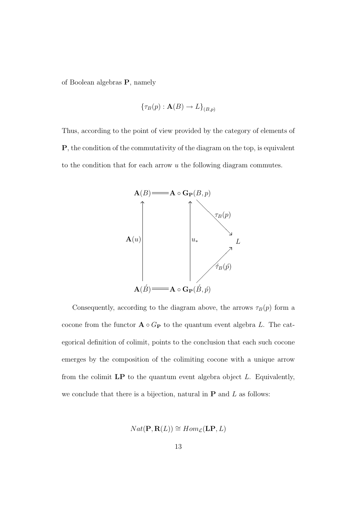of Boolean algebras P, namely

$$
\{\tau_B(p): \mathbf{A}(B) \to L\}_{(B,p)}
$$

Thus, according to the point of view provided by the category of elements of P, the condition of the commutativity of the diagram on the top, is equivalent to the condition that for each arrow u the following diagram commutes.



Consequently, according to the diagram above, the arrows  $\tau_B(p)$  form a cocone from the functor  $\mathbf{A} \circ G_{\mathbf{P}}$  to the quantum event algebra L. The categorical definition of colimit, points to the conclusion that each such cocone emerges by the composition of the colimiting cocone with a unique arrow from the colimit  $\mathbf{LP}$  to the quantum event algebra object L. Equivalently, we conclude that there is a bijection, natural in  $P$  and  $L$  as follows:

$$
Nat(\mathbf{P}, \mathbf{R}(L)) \cong Hom_{\mathcal{L}}(\mathbf{LP}, L)
$$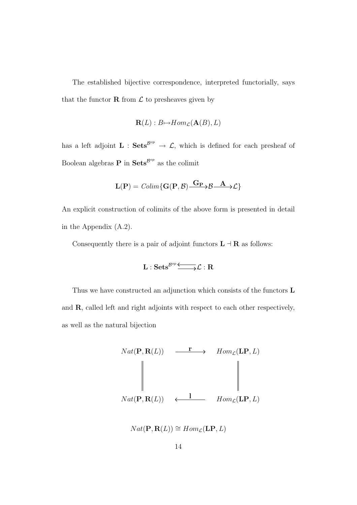The established bijective correspondence, interpreted functorially, says that the functor  $\bf{R}$  from  $\cal{L}$  to presheaves given by

$$
\mathbf{R}(L): B \mapsto Hom_{\mathcal{L}}(\mathbf{A}(B), L)
$$

has a left adjoint  $\mathbf{L}$ :  $\mathbf{Sets}^{\mathcal{B}^{op}} \to \mathcal{L}$ , which is defined for each presheaf of Boolean algebras **P** in  $\textbf{Sets}^{\mathcal{B}^{op}}$  as the colimit

$$
\mathbf{L}(\mathbf{P}) = \mathit{Colim}\{\mathbf{G}(\mathbf{P},\mathcal{B})\xrightarrow{\mathbf{G}_{\mathbf{P}}}\mathcal{B}\xrightarrow{\mathbf{A}}\mathcal{L}\}
$$

An explicit construction of colimits of the above form is presented in detail in the Appendix (A.2).

Consequently there is a pair of adjoint functors  $L \dashv R$  as follows:

$$
L:Sets^{\mathcal{B}^{op}}\overline{\xrightarrow{\hspace*{1.5cm}}\hspace*{1.5cm}}\mathcal{L}:R
$$

Thus we have constructed an adjunction which consists of the functors L and R, called left and right adjoints with respect to each other respectively, as well as the natural bijection



$$
Nat(\mathbf{P}, \mathbf{R}(L)) \cong Hom_{\mathcal{L}}(\mathbf{LP}, L)
$$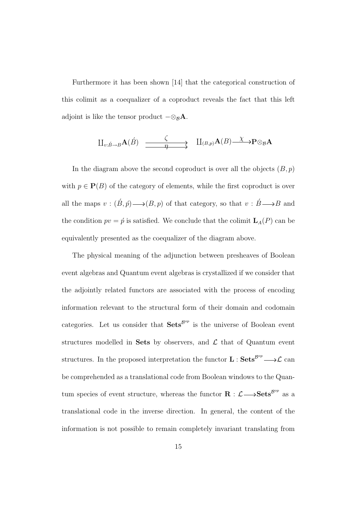Furthermore it has been shown [14] that the categorical construction of this colimit as a coequalizer of a coproduct reveals the fact that this left adjoint is like the tensor product  $-\otimes_{\mathcal{B}} A$ .

$$
\amalg_{v:\acute{B}\rightarrow B}\mathbf{A}(\acute{B})\xrightarrow{\zeta}\amalg_{(B,p)}\mathbf{A}(B)\xrightarrow{\chi}\mathbf{P}\otimes_{\mathcal{B}}\mathbf{A}
$$

In the diagram above the second coproduct is over all the objects  $(B, p)$ with  $p \in \mathbf{P}(B)$  of the category of elements, while the first coproduct is over all the maps  $v : (\acute{B}, \acute{p}) \longrightarrow (B, p)$  of that category, so that  $v : \acute{B} \longrightarrow B$  and the condition  $pv = \acute{p}$  is satisfied. We conclude that the colimit  $\mathbf{L}_{A}(P)$  can be equivalently presented as the coequalizer of the diagram above.

The physical meaning of the adjunction between presheaves of Boolean event algebras and Quantum event algebras is crystallized if we consider that the adjointly related functors are associated with the process of encoding information relevant to the structural form of their domain and codomain categories. Let us consider that  $\textbf{Sets}^{\mathcal{B}^{op}}$  is the universe of Boolean event structures modelled in Sets by observers, and  $\mathcal L$  that of Quantum event structures. In the proposed interpretation the functor  $L : \mathbf{Sets}^{\mathcal{B}^{op}} \longrightarrow \mathcal{L}$  can be comprehended as a translational code from Boolean windows to the Quantum species of event structure, whereas the functor  $\mathbf{R}: \mathcal{L} \longrightarrow \mathbf{Sets}^{\mathcal{B}^{op}}$  as a translational code in the inverse direction. In general, the content of the information is not possible to remain completely invariant translating from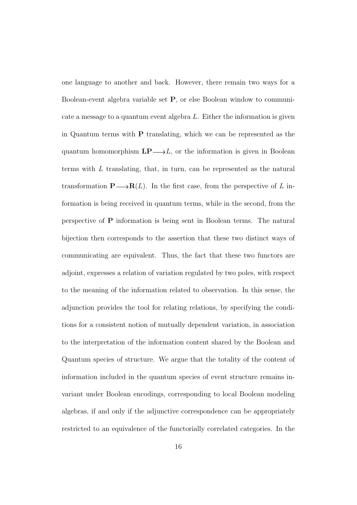one language to another and back. However, there remain two ways for a Boolean-event algebra variable set P, or else Boolean window to communicate a message to a quantum event algebra L. Either the information is given in Quantum terms with P translating, which we can be represented as the quantum homomorphism  $\mathbf{LP}\longrightarrow L$ , or the information is given in Boolean terms with L translating, that, in turn, can be represented as the natural transformation  $\mathbf{P}\longrightarrow \mathbf{R}(L)$ . In the first case, from the perspective of L information is being received in quantum terms, while in the second, from the perspective of P information is being sent in Boolean terms. The natural bijection then corresponds to the assertion that these two distinct ways of communicating are equivalent. Thus, the fact that these two functors are adjoint, expresses a relation of variation regulated by two poles, with respect to the meaning of the information related to observation. In this sense, the adjunction provides the tool for relating relations, by specifying the conditions for a consistent notion of mutually dependent variation, in association to the interpretation of the information content shared by the Boolean and Quantum species of structure. We argue that the totality of the content of information included in the quantum species of event structure remains invariant under Boolean encodings, corresponding to local Boolean modeling algebras, if and only if the adjunctive correspondence can be appropriately restricted to an equivalence of the functorially correlated categories. In the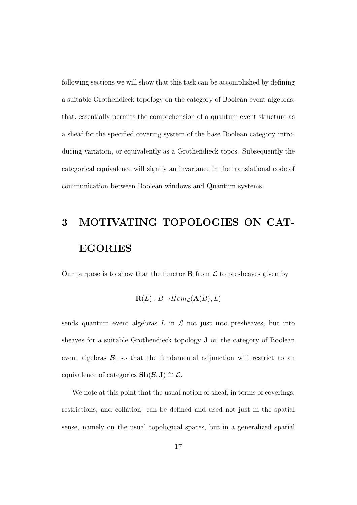following sections we will show that this task can be accomplished by defining a suitable Grothendieck topology on the category of Boolean event algebras, that, essentially permits the comprehension of a quantum event structure as a sheaf for the specified covering system of the base Boolean category introducing variation, or equivalently as a Grothendieck topos. Subsequently the categorical equivalence will signify an invariance in the translational code of communication between Boolean windows and Quantum systems.

# 3 MOTIVATING TOPOLOGIES ON CAT-EGORIES

Our purpose is to show that the functor **R** from  $\mathcal L$  to presheaves given by

$$
\mathbf{R}(L): B \rightarrow Hom_{\mathcal{L}}(\mathbf{A}(B), L)
$$

sends quantum event algebras  $L$  in  $\mathcal L$  not just into presheaves, but into sheaves for a suitable Grothendieck topology J on the category of Boolean event algebras  $\beta$ , so that the fundamental adjunction will restrict to an equivalence of categories  $\mathbf{Sh}(\mathcal{B}, \mathbf{J}) \cong \mathcal{L}$ .

We note at this point that the usual notion of sheaf, in terms of coverings, restrictions, and collation, can be defined and used not just in the spatial sense, namely on the usual topological spaces, but in a generalized spatial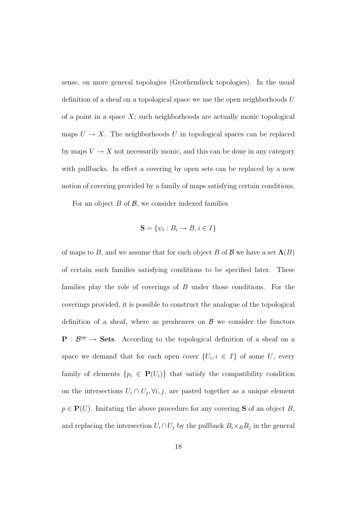sense, on more general topologies (Grothendieck topologies). In the usual definition of a sheaf on a topological space we use the open neighborhoods  $U$ of a point in a space  $X$ ; such neighborhoods are actually monic topological maps  $U \to X$ . The neighborhoods U in topological spaces can be replaced by maps  $V \to X$  not necessarily monic, and this can be done in any category with pullbacks. In effect a covering by open sets can be replaced by a new notion of covering provided by a family of maps satisfying certain conditions.

For an object  $B$  of  $\mathcal{B}$ , we consider indexed families

$$
\mathbf{S} = \{ \psi_i : B_i \to B, i \in I \}
$$

of maps to B, and we assume that for each object B of B we have a set  $\Lambda(B)$ of certain such families satisfying conditions to be specified later. These families play the role of coverings of B under those conditions. For the coverings provided, it is possible to construct the analogue of the topological definition of a sheaf, where as presheaves on  $\beta$  we consider the functors  $P : \mathcal{B}^{op} \to \mathbf{Sets}.$  According to the topological definition of a sheaf on a space we demand that for each open cover  $\{U_i, i \in I\}$  of some U, every family of elements  $\{p_i \in \mathbf{P}(U_i)\}\$  that satisfy the compatibility condition on the intersections  $U_i \cap U_j$ ,  $\forall i, j$ , are pasted together as a unique element  $p \in \mathbf{P}(U)$ . Imitating the above procedure for any covering **S** of an object B, and replacing the intersection  $U_i \cap U_j$  by the pullback  $B_i \times_B B_j$  in the general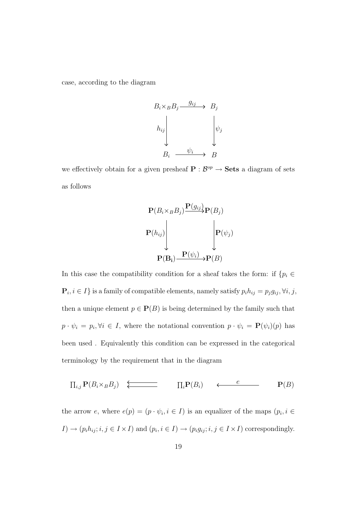case, according to the diagram

$$
B_i \times_B B_j \xrightarrow{g_{ij}} B_j
$$
\n
$$
h_{ij} \qquad \qquad \downarrow \qquad \downarrow \qquad \downarrow \downarrow \downarrow
$$
\n
$$
B_i \xrightarrow{\psi_i} B_j
$$

we effectively obtain for a given presheaf  $P : \mathcal{B}^{op} \to \mathbf{Sets}$  a diagram of sets as follows

$$
\mathbf{P}(B_i \times_B B_j) \frac{\mathbf{P}(g_{ij})}{\mathbf{P}(B_j)}
$$
\n
$$
\mathbf{P}(h_{ij}) \begin{bmatrix} \vdots \\ \mathbf{P}(\psi_j) \end{bmatrix}
$$
\n
$$
\mathbf{P}(\mathbf{B}_i) \frac{\mathbf{P}(\psi_i)}{\mathbf{P}(B_j)} \rightarrow \mathbf{P}(B)
$$

In this case the compatibility condition for a sheaf takes the form: if  $\{p_i \in$  $\mathbf{P}_i, i \in I$  is a family of compatible elements, namely satisfy  $p_i h_{ij} = p_j g_{ij}, \forall i, j$ , then a unique element  $p \in \mathbf{P}(B)$  is being determined by the family such that  $p \cdot \psi_i = p_i, \forall i \in I$ , where the notational convention  $p \cdot \psi_i = \mathbf{P}(\psi_i)(p)$  has been used . Equivalently this condition can be expressed in the categorical terminology by the requirement that in the diagram

$$
\prod_{i,j} \mathbf{P}(B_i \times_B B_j) \quad \Longleftrightarrow \qquad \qquad \prod_i \mathbf{P}(B_i) \qquad \Longleftarrow \qquad \qquad \mathbf{P}(B)
$$

the arrow e, where  $e(p) = (p \cdot \psi_i, i \in I)$  is an equalizer of the maps  $(p_i, i \in I)$  $I) \to (p_i h_{ij}; i, j \in I \times I)$  and  $(p_i, i \in I) \to (p_i g_{ij}; i, j \in I \times I)$  correspondingly.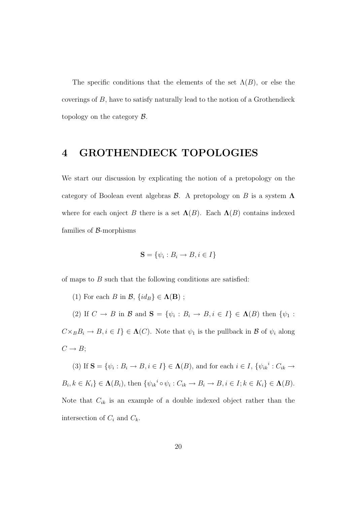The specific conditions that the elements of the set  $\Lambda(B)$ , or else the coverings of B, have to satisfy naturally lead to the notion of a Grothendieck topology on the category  $\beta$ .

#### 4 GROTHENDIECK TOPOLOGIES

We start our discussion by explicating the notion of a pretopology on the category of Boolean event algebras  $\mathcal B$ . A pretopology on B is a system  $\Lambda$ where for each onject B there is a set  $\Lambda(B)$ . Each  $\Lambda(B)$  contains indexed families of  $\beta$ -morphisms

$$
\mathbf{S} = \{ \psi_i : B_i \to B, i \in I \}
$$

of maps to  $B$  such that the following conditions are satisfied:

(1) For each B in  $\mathcal{B}, \{id_B\} \in \Lambda(\mathbf{B})$ ;

(2) If  $C \to B$  in  $\mathcal{B}$  and  $\mathbf{S} = \{\psi_i : B_i \to B, i \in I\} \in \Lambda(B)$  then  $\{\psi_1 :$  $C\times_B B_i \to B, i \in I$   $\in \Lambda(C)$ . Note that  $\psi_1$  is the pullback in  $\mathcal B$  of  $\psi_i$  along  $C \rightarrow B;$ 

(3) If  $S = {\psi_i : B_i \to B, i \in I} \in \Lambda(B)$ , and for each  $i \in I$ ,  ${\psi_{ik}}^i : C_{ik} \to$  $B_i, k \in K_i\} \in \Lambda(B_i)$ , then  $\{\psi_{ik}^i \circ \psi_i : C_{ik} \to B_i \to B, i \in I; k \in K_i\} \in \Lambda(B)$ . Note that  $C_{ik}$  is an example of a double indexed object rather than the intersection of  $C_i$  and  $C_k$ .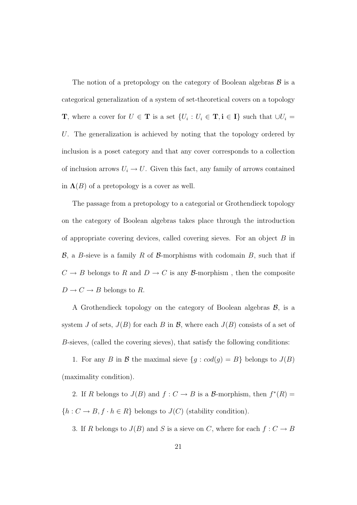The notion of a pretopology on the category of Boolean algebras  $\mathcal{B}$  is a categorical generalization of a system of set-theoretical covers on a topology **T**, where a cover for  $U \in \mathbf{T}$  is a set  $\{U_i : U_i \in \mathbf{T}, i \in I\}$  such that  $\cup U_i =$ U. The generalization is achieved by noting that the topology ordered by inclusion is a poset category and that any cover corresponds to a collection of inclusion arrows  $U_i \rightarrow U$ . Given this fact, any family of arrows contained in  $\Lambda(B)$  of a pretopology is a cover as well.

The passage from a pretopology to a categorial or Grothendieck topology on the category of Boolean algebras takes place through the introduction of appropriate covering devices, called covering sieves. For an object B in  $\mathcal{B}$ , a B-sieve is a family R of B-morphisms with codomain B, such that if  $C \rightarrow B$  belongs to  $R$  and  $D \rightarrow C$  is any  ${\mathcal B} \textrm{-morphism}$  , then the composite  $D \to C \to B$  belongs to R.

A Grothendieck topology on the category of Boolean algebras  $\mathcal{B}$ , is a system J of sets,  $J(B)$  for each B in B, where each  $J(B)$  consists of a set of B-sieves, (called the covering sieves), that satisfy the following conditions:

1. For any B in B the maximal sieve  $\{g : cod(g) = B\}$  belongs to  $J(B)$ (maximality condition).

2. If R belongs to  $J(B)$  and  $f: C \to B$  is a B-morphism, then  $f^*(R) =$  $\{h: C \to B, f \cdot h \in R\}$  belongs to  $J(C)$  (stability condition).

3. If R belongs to  $J(B)$  and S is a sieve on C, where for each  $f: C \to B$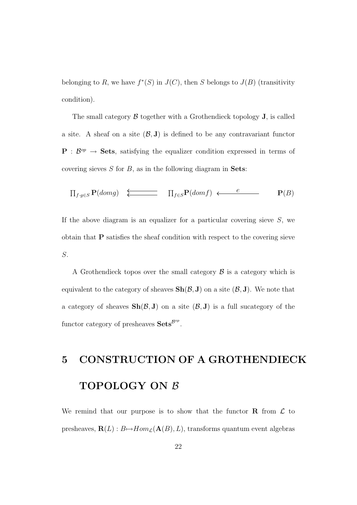belonging to R, we have  $f^*(S)$  in  $J(C)$ , then S belongs to  $J(B)$  (transitivity condition).

The small category  $\beta$  together with a Grothendieck topology  $J$ , is called a site. A sheaf on a site  $(\mathcal{B}, \mathbf{J})$  is defined to be any contravariant functor  $P : \mathcal{B}^{op} \to \mathbf{Sets}$ , satisfying the equalizer condition expressed in terms of covering sieves  $S$  for  $B$ , as in the following diagram in **Sets**:

$$
\prod_{f:g\in S} \mathbf{P}(domg) \quad \Longleftrightarrow \qquad \prod_{f\in S} \mathbf{P}(domf) \quad \Longleftarrow \qquad \qquad \mathbf{P}(B)
$$

If the above diagram is an equalizer for a particular covering sieve  $S$ , we obtain that P satisfies the sheaf condition with respect to the covering sieve S.

A Grothendieck topos over the small category  $\beta$  is a category which is equivalent to the category of sheaves  $\text{Sh}(\mathcal{B}, J)$  on a site  $(\mathcal{B}, J)$ . We note that a category of sheaves  $\text{Sh}(\mathcal{B}, J)$  on a site  $(\mathcal{B}, J)$  is a full sucategory of the functor category of presheaves  $\textbf{Sets}^{\mathcal{B}^{op}}$ .

# 5 CONSTRUCTION OF A GROTHENDIECK TOPOLOGY ON  $\beta$

We remind that our purpose is to show that the functor  $\bf{R}$  from  $\bf{\cal{L}}$  to presheaves,  $\mathbf{R}(L): B \rightarrow Hom_{\mathcal{L}}(\mathbf{A}(B), L)$ , transforms quantum event algebras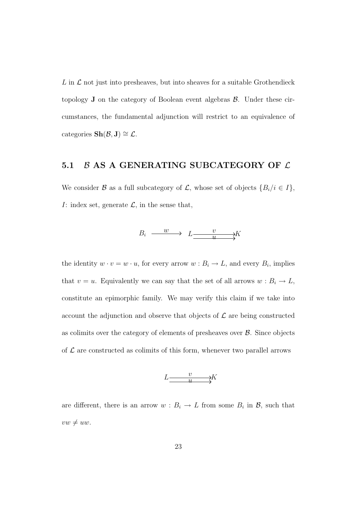$L$  in  $\mathcal L$  not just into presheaves, but into sheaves for a suitable Grothendieck topology  $J$  on the category of Boolean event algebras  $\beta$ . Under these circumstances, the fundamental adjunction will restrict to an equivalence of categories  $\text{Sh}(\mathcal{B}, J) \cong \mathcal{L}$ .

#### 5.1  $\beta$  AS A GENERATING SUBCATEGORY OF  $\mathcal L$

We consider B as a full subcategory of L, whose set of objects  $\{B_i/i \in I\}$ , *I*: index set, generate  $\mathcal{L}$ , in the sense that,

$$
B_i \xrightarrow{w} L \xrightarrow{v} X
$$

the identity  $w \cdot v = w \cdot u$ , for every arrow  $w : B_i \to L$ , and every  $B_i$ , implies that  $v = u$ . Equivalently we can say that the set of all arrows  $w : B_i \to L$ , constitute an epimorphic family. We may verify this claim if we take into account the adjunction and observe that objects of  $\mathcal L$  are being constructed as colimits over the category of elements of presheaves over  $\beta$ . Since objects of  $\mathcal L$  are constructed as colimits of this form, whenever two parallel arrows



are different, there is an arrow  $w : B_i \to L$  from some  $B_i$  in  $\mathcal{B}$ , such that  $vw \neq uw.$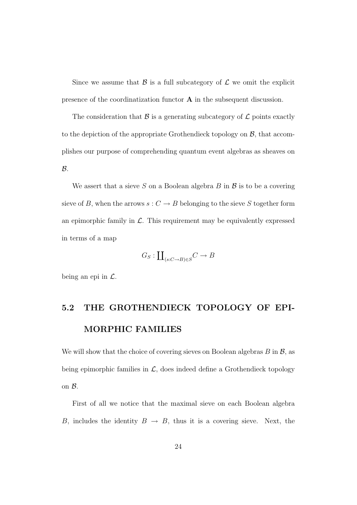Since we assume that  $\beta$  is a full subcategory of  $\mathcal L$  we omit the explicit presence of the coordinatization functor A in the subsequent discussion.

The consideration that  $\mathcal{B}$  is a generating subcategory of  $\mathcal{L}$  points exactly to the depiction of the appropriate Grothendieck topology on  $\mathcal{B}$ , that accomplishes our purpose of comprehending quantum event algebras as sheaves on  $\mathcal{B}$ .

We assert that a sieve S on a Boolean algebra B in  $\beta$  is to be a covering sieve of B, when the arrows  $s: C \to B$  belonging to the sieve S together form an epimorphic family in  $\mathcal{L}$ . This requirement may be equivalently expressed in terms of a map

$$
G_S: \coprod_{(s:C \to B) \in S} C \to B
$$

being an epi in  $\mathcal{L}$ .

## 5.2 THE GROTHENDIECK TOPOLOGY OF EPI-MORPHIC FAMILIES

We will show that the choice of covering sieves on Boolean algebras  $B$  in  $\mathcal{B}$ , as being epimorphic families in  $\mathcal{L}$ , does indeed define a Grothendieck topology on B.

First of all we notice that the maximal sieve on each Boolean algebra B, includes the identity  $B \to B$ , thus it is a covering sieve. Next, the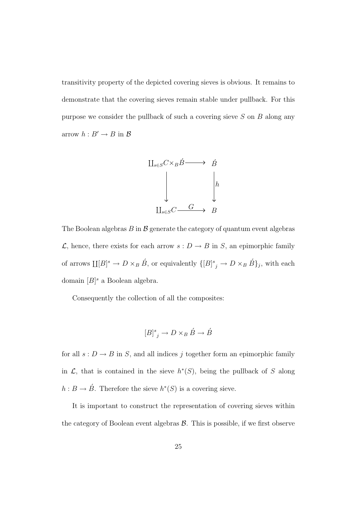transitivity property of the depicted covering sieves is obvious. It remains to demonstrate that the covering sieves remain stable under pullback. For this purpose we consider the pullback of such a covering sieve  $S$  on  $B$  along any arrow  $h : B' \to B$  in  $\mathcal{B}$ 



The Boolean algebras  $B$  in  $\mathcal B$  generate the category of quantum event algebras  $\mathcal{L}$ , hence, there exists for each arrow  $s: D \to B$  in S, an epimorphic family of arrows  $\coprod [B]^s \to D \times_B \check{B}$ , or equivalently  $\{[B]^s_j \to D \times_B \check{B}\}_j$ , with each domain  $[B]$ <sup>s</sup> a Boolean algebra.

Consequently the collection of all the composites:

$$
[B]^{s}_{j} \to D \times_{B} \acute{B} \to \acute{B}
$$

for all  $s: D \to B$  in S, and all indices j together form an epimorphic family in  $\mathcal{L}$ , that is contained in the sieve  $h^*(S)$ , being the pullback of S along  $h: B \to \hat{B}$ . Therefore the sieve  $h^*(S)$  is a covering sieve.

It is important to construct the representation of covering sieves within the category of Boolean event algebras  $\mathcal{B}$ . This is possible, if we first observe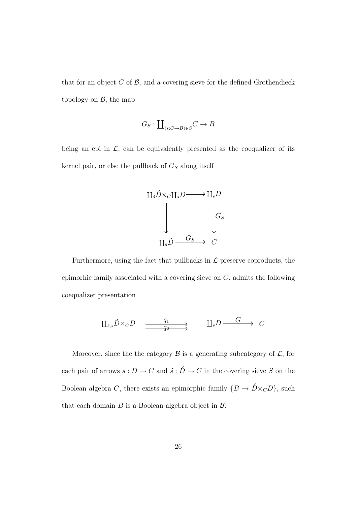that for an object  $C$  of  $\mathcal{B}$ , and a covering sieve for the defined Grothendieck topology on  $\mathcal{B}$ , the map

$$
G_S: \coprod_{(s:C \to B) \in S} C \to B
$$

being an epi in  $\mathcal{L}$ , can be equivalently presented as the coequalizer of its kernel pair, or else the pullback of  $G_S$  along itself



Furthermore, using the fact that pullbacks in  $\mathcal L$  preserve coproducts, the epimorhic family associated with a covering sieve on  $C$ , admits the following coequalizer presentation

$$
\begin{array}{ccc}\n\coprod_{\delta,s}\acute{D}\times_{C}D & \xrightarrow{\quad q_{1}\quad} & \coprod_{s}D \xrightarrow{\quad G\quad} & C\n\end{array}
$$

Moreover, since the the category  $\beta$  is a generating subcategory of  $\mathcal{L}$ , for each pair of arrows  $s: D \to C$  and  $\acute{s}: \acute{D} \to C$  in the covering sieve S on the Boolean algebra C, there exists an epimorphic family  $\{B \to \acute{D} \times_C D\}$ , such that each domain  $B$  is a Boolean algebra object in  $\mathcal{B}$ .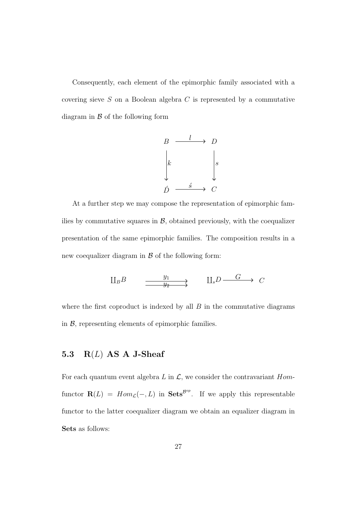Consequently, each element of the epimorphic family associated with a covering sieve  $S$  on a Boolean algebra  $C$  is represented by a commutative diagram in  $\beta$  of the following form



At a further step we may compose the representation of epimorphic families by commutative squares in  $\mathcal{B}$ , obtained previously, with the coequalizer presentation of the same epimorphic families. The composition results in a new coequalizer diagram in  $\beta$  of the following form:

$$
\downarrow \hspace{-0.1cm} \downarrow B \longrightarrow
$$
\n
$$
\xrightarrow{\quad y_1 \quad \quad y_2 \quad \quad} \downarrow \qquad \downarrow
$$
\n
$$
\downarrow
$$
\n
$$
\downarrow
$$
\n
$$
D \longrightarrow C
$$

where the first coproduct is indexed by all  $B$  in the commutative diagrams in  $\beta$ , representing elements of epimorphic families.

#### 5.3  $R(L)$  AS A J-Sheaf

For each quantum event algebra L in  $\mathcal{L}$ , we consider the contravariant Homfunctor  $\mathbf{R}(L) = Hom_{\mathcal{L}}(-, L)$  in **Sets**<sup>*B*°</sup><sup>*n*</sup>. If we apply this representable functor to the latter coequalizer diagram we obtain an equalizer diagram in Sets as follows: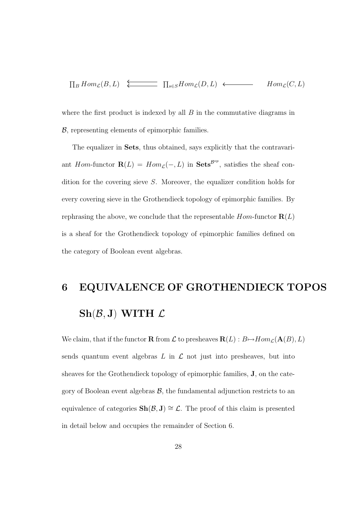$$
\prod_B Hom_{\mathcal{L}}(B, L) \xleftarrow{\longleftarrow} \prod_{s \in S} Hom_{\mathcal{L}}(D, L) \longleftarrow Hom_{\mathcal{L}}(C, L)
$$

where the first product is indexed by all  $B$  in the commutative diagrams in B, representing elements of epimorphic families.

The equalizer in Sets, thus obtained, says explicitly that the contravariant Hom-functor  $\mathbf{R}(L) = Hom_{\mathcal{L}}(-, L)$  in  $\mathbf{Sets}^{\mathcal{B}^{op}}$ , satisfies the sheaf condition for the covering sieve S. Moreover, the equalizer condition holds for every covering sieve in the Grothendieck topology of epimorphic families. By rephrasing the above, we conclude that the representable  $Hom$ -functor  $\mathbf{R}(L)$ is a sheaf for the Grothendieck topology of epimorphic families defined on the category of Boolean event algebras.

# 6 EQUIVALENCE OF GROTHENDIECK TOPOS  $\text{Sh}(\mathcal{B},J)$  WITH  $\mathcal L$

We claim, that if the functor  $\mathbf R$  from  $\mathcal L$  to presheaves  $\mathbf R(L): B {\mapsto} Hom_\mathcal L(\mathbf A(B), L)$ sends quantum event algebras  $L$  in  $\mathcal L$  not just into presheaves, but into sheaves for the Grothendieck topology of epimorphic families, J, on the category of Boolean event algebras  $\mathcal{B}$ , the fundamental adjunction restricts to an equivalence of categories  $\text{Sh}(\mathcal{B}, J) \cong \mathcal{L}$ . The proof of this claim is presented in detail below and occupies the remainder of Section 6.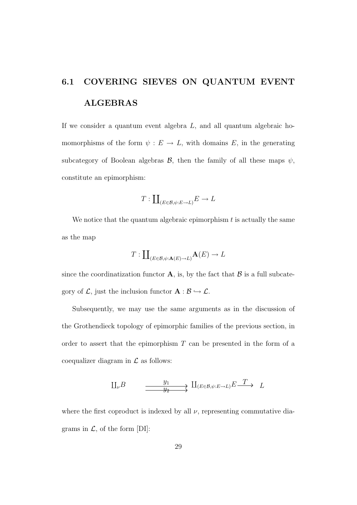# 6.1 COVERING SIEVES ON QUANTUM EVENT ALGEBRAS

If we consider a quantum event algebra  $L$ , and all quantum algebraic homomorphisms of the form  $\psi : E \to L$ , with domains E, in the generating subcategory of Boolean algebras  $\mathcal{B}$ , then the family of all these maps  $\psi$ , constitute an epimorphism:

$$
T: \coprod_{(E \in \mathcal{B}, \psi : E \to L)} E \to L
$$

We notice that the quantum algebraic epimorphism  $t$  is actually the same as the map

$$
T:\coprod\nolimits_{(E\in\mathcal{B},\psi:\mathbf{A}(E)\to L)}\mathbf{A}(E)\to L
$$

since the coordinatization functor  $\bf{A}$ , is, by the fact that  $\bf{B}$  is a full subcategory of  $\mathcal{L}$ , just the inclusion functor  $\mathbf{A} : \mathcal{B} \hookrightarrow \mathcal{L}$ .

Subsequently, we may use the same arguments as in the discussion of the Grothendieck topology of epimorphic families of the previous section, in order to assert that the epimorphism  $T$  can be presented in the form of a coequalizer diagram in  $\mathcal L$  as follows:

$$
\mathcal{L}^{B} \longrightarrow \mathcal{L}^{y_1} \longrightarrow \mathcal{L}^{y_2} \longrightarrow \mathcal{L}^{y_3} \longrightarrow \mathcal{L}^{y_4} \longrightarrow \mathcal{L}^{y_5} \longrightarrow \mathcal{L}^{y_6}
$$

where the first coproduct is indexed by all  $\nu$ , representing commutative diagrams in  $\mathcal{L}$ , of the form [DI]: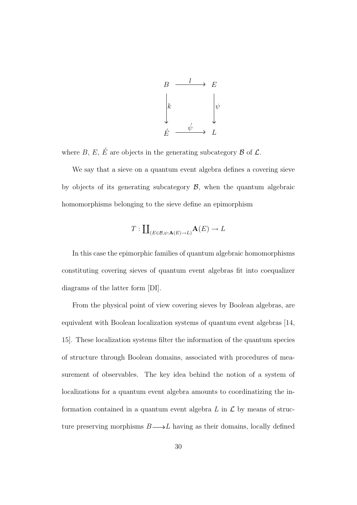

where  $B, E, \acute{E}$  are objects in the generating subcategory  $B$  of  $\mathcal{L}$ .

We say that a sieve on a quantum event algebra defines a covering sieve by objects of its generating subcategory  $\mathcal{B}$ , when the quantum algebraic homomorphisms belonging to the sieve define an epimorphism

$$
T: \coprod_{(E \in \mathcal{B}, \psi: \mathbf{A}(E) \to L)} \mathbf{A}(E) \to L
$$

In this case the epimorphic families of quantum algebraic homomorphisms constituting covering sieves of quantum event algebras fit into coequalizer diagrams of the latter form [DI].

From the physical point of view covering sieves by Boolean algebras, are equivalent with Boolean localization systems of quantum event algebras [14, 15]. These localization systems filter the information of the quantum species of structure through Boolean domains, associated with procedures of measurement of observables. The key idea behind the notion of a system of localizations for a quantum event algebra amounts to coordinatizing the information contained in a quantum event algebra  $L$  in  $\mathcal L$  by means of structure preserving morphisms  $B {\longrightarrow} L$  having as their domains, locally defined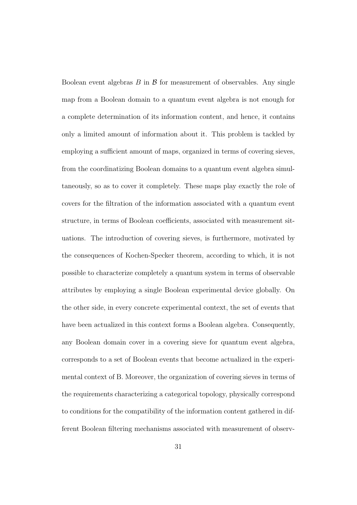Boolean event algebras  $B$  in  $\beta$  for measurement of observables. Any single map from a Boolean domain to a quantum event algebra is not enough for a complete determination of its information content, and hence, it contains only a limited amount of information about it. This problem is tackled by employing a sufficient amount of maps, organized in terms of covering sieves, from the coordinatizing Boolean domains to a quantum event algebra simultaneously, so as to cover it completely. These maps play exactly the role of covers for the filtration of the information associated with a quantum event structure, in terms of Boolean coefficients, associated with measurement situations. The introduction of covering sieves, is furthermore, motivated by the consequences of Kochen-Specker theorem, according to which, it is not possible to characterize completely a quantum system in terms of observable attributes by employing a single Boolean experimental device globally. On the other side, in every concrete experimental context, the set of events that have been actualized in this context forms a Boolean algebra. Consequently, any Boolean domain cover in a covering sieve for quantum event algebra, corresponds to a set of Boolean events that become actualized in the experimental context of B. Moreover, the organization of covering sieves in terms of the requirements characterizing a categorical topology, physically correspond to conditions for the compatibility of the information content gathered in different Boolean filtering mechanisms associated with measurement of observ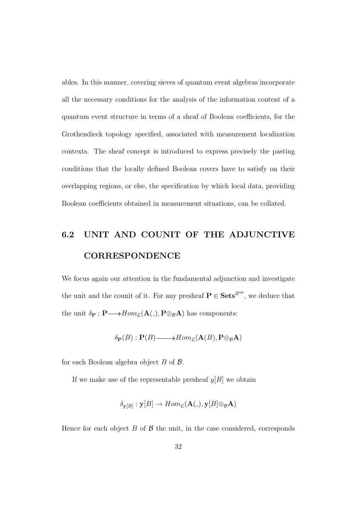ables. In this manner, covering sieves of quantum event algebras incorporate all the necessary conditions for the analysis of the information content of a quantum event structure in terms of a sheaf of Boolean coefficients, for the Grothendieck topology specified, associated with measurement localization contexts. The sheaf concept is introduced to express precisely the pasting conditions that the locally defined Boolean covers have to satisfy on their overlapping regions, or else, the specification by which local data, providing Boolean coefficients obtained in measurement situations, can be collated.

## 6.2 UNIT AND COUNIT OF THE ADJUNCTIVE CORRESPONDENCE

We focus again our attention in the fundamental adjunction and investigate the unit and the counit of it. For any presheaf  $P \in \mathbf{Sets}^{B^{op}}$ , we deduce that the unit  $\delta_P : P \longrightarrow Hom_{\mathcal{L}}(\mathbf{A}(\mathcal{L}), P \otimes_{\mathcal{B}} A)$  has components:

$$
\delta_{\mathbf{P}}(B) : \mathbf{P}(B) \longrightarrow Hom_{\mathcal{L}}(\mathbf{A}(B), \mathbf{P} \otimes_{\mathcal{B}} \mathbf{A})
$$

for each Boolean algebra object  $B$  of  $\beta$ .

If we make use of the representable presheaf  $y[B]$  we obtain

$$
\delta_{\mathbf{y}[B]} : \mathbf{y}[B] \to Hom_{\mathcal{L}}(\mathbf{A}(.), \mathbf{y}[B] \otimes_{\mathcal{B}} \mathbf{A})
$$

Hence for each object  $B$  of  $\beta$  the unit, in the case considered, corresponds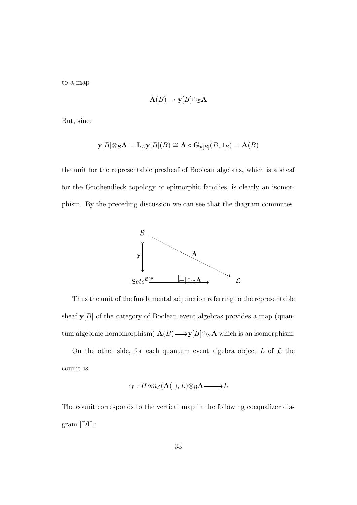to a map

$$
\mathbf{A}(B) \to \mathbf{y}[B] \otimes_{\mathcal{B}} \mathbf{A}
$$

But, since

$$
\mathbf{y}[B]\otimes_{\mathcal{B}} \mathbf{A} = \mathbf{L}_{A}\mathbf{y}[B](B) \cong \mathbf{A} \circ \mathbf{G}_{\mathbf{y}[B]}(B, 1_{B}) = \mathbf{A}(B)
$$

the unit for the representable presheaf of Boolean algebras, which is a sheaf for the Grothendieck topology of epimorphic families, is clearly an isomorphism. By the preceding discussion we can see that the diagram commutes



Thus the unit of the fundamental adjunction referring to the representable sheaf  $y[B]$  of the category of Boolean event algebras provides a map (quantum algebraic homomorphism)  $\mathbf{A}(B) \longrightarrow \mathbf{y}[B] \otimes_B \mathbf{A}$  which is an isomorphism.

On the other side, for each quantum event algebra object  $L$  of  $\mathcal L$  the counit is

$$
\epsilon_L: Hom_{\mathcal{L}}(\mathbf{A}(.), L) \otimes_{\mathcal{B}} \mathbf{A} \longrightarrow L
$$

The counit corresponds to the vertical map in the following coequalizer diagram [DII]: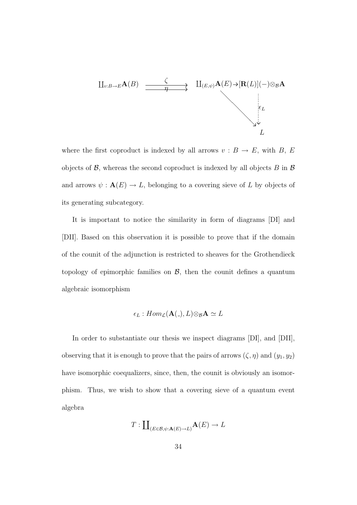$$
\begin{array}{ccc}\n\coprod_{v:B\to E} A(B) & \xrightarrow{\zeta} & \coprod_{(E,\psi)} A(E) \to [\mathbf{R}(L)](-) \otimes_{\mathcal{B}} A \\
& & \vdots \\
& & \downarrow_{\mathcal{E}} \\
& & \downarrow_{\mathcal{E}} \\
& & \downarrow_{\mathcal{E}} \\
& & \downarrow_{\mathcal{E}} \\
& & \downarrow_{\mathcal{E}} \\
& & \downarrow_{\mathcal{E}} \\
& & \downarrow_{\mathcal{E}} \\
& & \downarrow_{\mathcal{E}} \\
& & \downarrow_{\mathcal{E}} \\
& & \downarrow_{\mathcal{E}} \\
& & \downarrow_{\mathcal{E}} \\
& & \downarrow_{\mathcal{E}} \\
& & \downarrow_{\mathcal{E}} \\
& & \downarrow_{\mathcal{E}} \\
& & \downarrow_{\mathcal{E}} \\
& & \downarrow_{\mathcal{E}} \\
& & \downarrow_{\mathcal{E}} \\
& & \downarrow_{\mathcal{E}} \\
& & \downarrow_{\mathcal{E}} \\
& & \downarrow_{\mathcal{E}} \\
& & \downarrow_{\mathcal{E}} \\
& & \downarrow_{\mathcal{E}} \\
& & \downarrow_{\mathcal{E}} \\
& & \downarrow_{\mathcal{E}} \\
& & \downarrow_{\mathcal{E}} \\
& & \downarrow_{\mathcal{E}} \\
& & \downarrow_{\mathcal{E}} \\
& & \downarrow_{\mathcal{E}} \\
& & \downarrow_{\mathcal{E}} \\
& & \downarrow_{\mathcal{E}} \\
& & \downarrow_{\mathcal{E}} \\
& & \downarrow_{\mathcal{E}} \\
& & \downarrow_{\mathcal{E}} \\
& & \downarrow_{\mathcal{E}} \\
& & \downarrow_{\mathcal{E}} \\
& & \downarrow_{\mathcal{E}} \\
& & \downarrow_{\mathcal{E}} \\
& & \downarrow_{\mathcal{E}} \\
& & \downarrow_{\mathcal{E}} \\
& & \downarrow_{\mathcal{E}} \\
& & \downarrow_{\mathcal{E}} \\
& & \downarrow_{\mathcal{E}} \\
& & \downarrow_{
$$

where the first coproduct is indexed by all arrows  $v : B \to E$ , with B, E objects of  $\mathcal{B}$ , whereas the second coproduct is indexed by all objects  $B$  in  $\mathcal{B}$ and arrows  $\psi : \mathbf{A}(E) \to L$ , belonging to a covering sieve of L by objects of its generating subcategory.

It is important to notice the similarity in form of diagrams [DI] and [DII]. Based on this observation it is possible to prove that if the domain of the counit of the adjunction is restricted to sheaves for the Grothendieck topology of epimorphic families on  $\mathcal{B}$ , then the counit defines a quantum algebraic isomorphism

$$
\epsilon_L: Hom_{\mathcal{L}}(\mathbf{A}(.), L) \otimes_{\mathcal{B}} \mathbf{A} \simeq L
$$

In order to substantiate our thesis we inspect diagrams [DI], and [DII], observing that it is enough to prove that the pairs of arrows  $(\zeta, \eta)$  and  $(y_1, y_2)$ have isomorphic coequalizers, since, then, the counit is obviously an isomorphism. Thus, we wish to show that a covering sieve of a quantum event algebra

$$
T: \coprod_{(E \in \mathcal{B}, \psi: \mathbf{A}(E) \to L)} \mathbf{A}(E) \to L
$$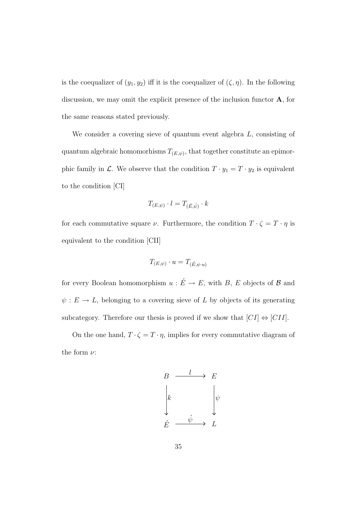is the coequalizer of  $(y_1, y_2)$  iff it is the coequalizer of  $(\zeta, \eta)$ . In the following discussion, we may omit the explicit presence of the inclusion functor  $\mathbf{A}$ , for the same reasons stated previously.

We consider a covering sieve of quantum event algebra  $L$ , consisting of quantum algebraic homomorhisms  $T_{(E,\psi)}$ , that together constitute an epimorphic family in  $\mathcal{L}$ . We observe that the condition  $T \cdot y_1 = T \cdot y_2$  is equivalent to the condition [CI]

$$
T_{(E,\psi)} \cdot l = T_{(\acute{E},\acute{\psi})} \cdot k
$$

for each commutative square  $\nu$ . Furthermore, the condition  $T \cdot \zeta = T \cdot \eta$  is equivalent to the condition [CII]

$$
T_{(E,\psi)} \cdot u = T_{(\acute{E},\psi \cdot u)}
$$

for every Boolean homomorphism  $u : \acute{E} \rightarrow E$ , with B, E objects of B and  $\psi: E \to L$ , belonging to a covering sieve of L by objects of its generating subcategory. Therefore our thesis is proved if we show that  $[CI] \Leftrightarrow [CII]$ .

On the one hand,  $T\cdot\zeta=T\cdot\eta,$  implies for every commutative diagram of the form  $\nu$ :

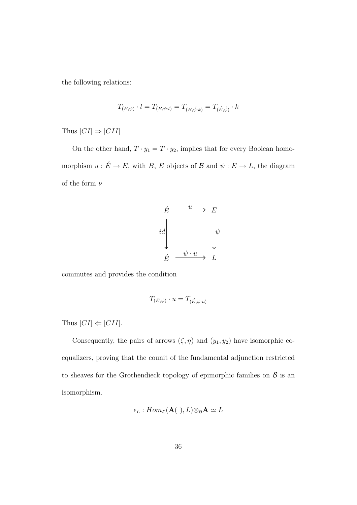the following relations:

$$
T_{(E,\psi)} \cdot l = T_{(B,\psi \cdot l)} = T_{(B,\psi \cdot k)} = T_{(\hat{E},\hat{\psi})} \cdot k
$$

Thus  $[CI] \Rightarrow [CII]$ 

On the other hand,  $T \cdot y_1 = T \cdot y_2$ , implies that for every Boolean homomorphism  $u : \acute{E} \to E$ , with B, E objects of B and  $\psi : E \to L$ , the diagram of the form  $\nu$ 



commutes and provides the condition

$$
T_{(E,\psi)} \cdot u = T_{(\acute{E},\psi \cdot u)}
$$

Thus  $[CI] \Leftarrow [CII]$ .

Consequently, the pairs of arrows  $(\zeta, \eta)$  and  $(y_1, y_2)$  have isomorphic coequalizers, proving that the counit of the fundamental adjunction restricted to sheaves for the Grothendieck topology of epimorphic families on  $\beta$  is an isomorphism.

$$
\epsilon_L: Hom_{\mathcal{L}}(\mathbf{A}(.), L) \otimes_{\mathcal{B}} \mathbf{A} \simeq L
$$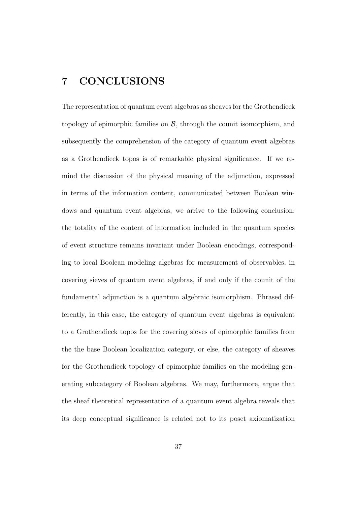### 7 CONCLUSIONS

The representation of quantum event algebras as sheaves for the Grothendieck topology of epimorphic families on  $\mathcal{B}$ , through the counit isomorphism, and subsequently the comprehension of the category of quantum event algebras as a Grothendieck topos is of remarkable physical significance. If we remind the discussion of the physical meaning of the adjunction, expressed in terms of the information content, communicated between Boolean windows and quantum event algebras, we arrive to the following conclusion: the totality of the content of information included in the quantum species of event structure remains invariant under Boolean encodings, corresponding to local Boolean modeling algebras for measurement of observables, in covering sieves of quantum event algebras, if and only if the counit of the fundamental adjunction is a quantum algebraic isomorphism. Phrased differently, in this case, the category of quantum event algebras is equivalent to a Grothendieck topos for the covering sieves of epimorphic families from the the base Boolean localization category, or else, the category of sheaves for the Grothendieck topology of epimorphic families on the modeling generating subcategory of Boolean algebras. We may, furthermore, argue that the sheaf theoretical representation of a quantum event algebra reveals that its deep conceptual significance is related not to its poset axiomatization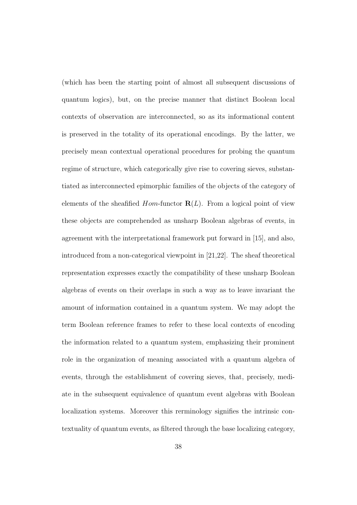(which has been the starting point of almost all subsequent discussions of quantum logics), but, on the precise manner that distinct Boolean local contexts of observation are interconnected, so as its informational content is preserved in the totality of its operational encodings. By the latter, we precisely mean contextual operational procedures for probing the quantum regime of structure, which categorically give rise to covering sieves, substantiated as interconnected epimorphic families of the objects of the category of elements of the sheafified  $Hom\text{-}functor \mathbf{R}(L)$ . From a logical point of view these objects are comprehended as unsharp Boolean algebras of events, in agreement with the interpretational framework put forward in [15], and also, introduced from a non-categorical viewpoint in [21,22]. The sheaf theoretical representation expresses exactly the compatibility of these unsharp Boolean algebras of events on their overlaps in such a way as to leave invariant the amount of information contained in a quantum system. We may adopt the term Boolean reference frames to refer to these local contexts of encoding the information related to a quantum system, emphasizing their prominent role in the organization of meaning associated with a quantum algebra of events, through the establishment of covering sieves, that, precisely, mediate in the subsequent equivalence of quantum event algebras with Boolean localization systems. Moreover this rerminology signifies the intrinsic contextuality of quantum events, as filtered through the base localizing category,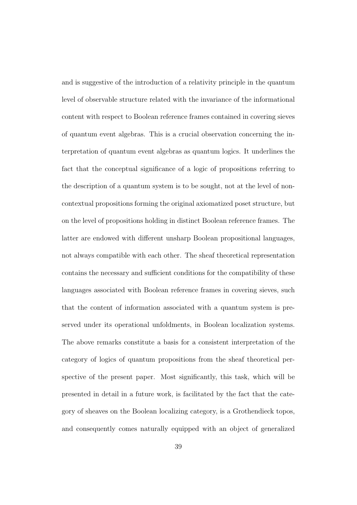and is suggestive of the introduction of a relativity principle in the quantum level of observable structure related with the invariance of the informational content with respect to Boolean reference frames contained in covering sieves of quantum event algebras. This is a crucial observation concerning the interpretation of quantum event algebras as quantum logics. It underlines the fact that the conceptual significance of a logic of propositions referring to the description of a quantum system is to be sought, not at the level of noncontextual propositions forming the original axiomatized poset structure, but on the level of propositions holding in distinct Boolean reference frames. The latter are endowed with different unsharp Boolean propositional languages, not always compatible with each other. The sheaf theoretical representation contains the necessary and sufficient conditions for the compatibility of these languages associated with Boolean reference frames in covering sieves, such that the content of information associated with a quantum system is preserved under its operational unfoldments, in Boolean localization systems. The above remarks constitute a basis for a consistent interpretation of the category of logics of quantum propositions from the sheaf theoretical perspective of the present paper. Most significantly, this task, which will be presented in detail in a future work, is facilitated by the fact that the category of sheaves on the Boolean localizing category, is a Grothendieck topos, and consequently comes naturally equipped with an object of generalized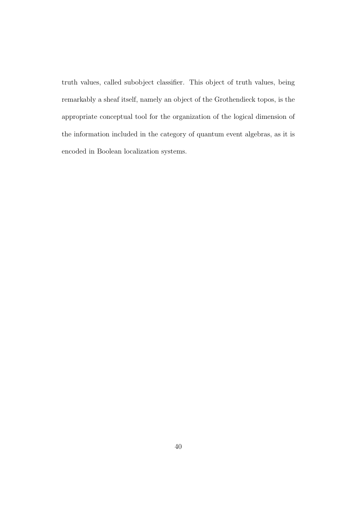truth values, called subobject classifier. This object of truth values, being remarkably a sheaf itself, namely an object of the Grothendieck topos, is the appropriate conceptual tool for the organization of the logical dimension of the information included in the category of quantum event algebras, as it is encoded in Boolean localization systems.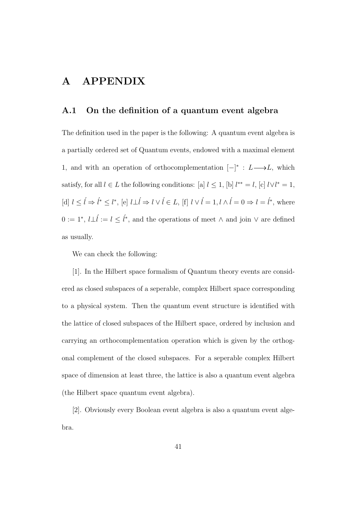### A APPENDIX

#### A.1 On the definition of a quantum event algebra

The definition used in the paper is the following: A quantum event algebra is a partially ordered set of Quantum events, endowed with a maximal element 1, and with an operation of orthocomplementation  $[-]^*$  : L → L, which satisfy, for all  $l \in L$  the following conditions: [a]  $l \leq 1$ , [b]  $l^{**} = l$ , [c]  $l \vee l^* = 1$ , [d]  $l \leq \hat{l} \Rightarrow \hat{l}^* \leq l^*$ , [e]  $l \perp \hat{l} \Rightarrow l \vee \hat{l} \in L$ , [f]  $l \vee \hat{l} = 1, l \wedge \hat{l} = 0 \Rightarrow l = \hat{l}^*$ , where  $0 := 1^*, l\bot \hat{l} := l \leq \hat{l}^*,$  and the operations of meet  $\wedge$  and join  $\vee$  are defined as usually.

We can check the following:

[1]. In the Hilbert space formalism of Quantum theory events are considered as closed subspaces of a seperable, complex Hilbert space corresponding to a physical system. Then the quantum event structure is identified with the lattice of closed subspaces of the Hilbert space, ordered by inclusion and carrying an orthocomplementation operation which is given by the orthogonal complement of the closed subspaces. For a seperable complex Hilbert space of dimension at least three, the lattice is also a quantum event algebra (the Hilbert space quantum event algebra).

[2]. Obviously every Boolean event algebra is also a quantum event algebra.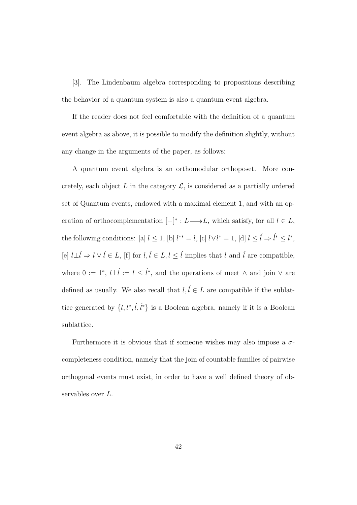[3]. The Lindenbaum algebra corresponding to propositions describing the behavior of a quantum system is also a quantum event algebra.

If the reader does not feel comfortable with the definition of a quantum event algebra as above, it is possible to modify the definition slightly, without any change in the arguments of the paper, as follows:

A quantum event algebra is an orthomodular orthoposet. More concretely, each object L in the category  $\mathcal{L}$ , is considered as a partially ordered set of Quantum events, endowed with a maximal element 1, and with an operation of orthocomplementation  $[-]^* : L \longrightarrow L$ , which satisfy, for all  $l \in L$ , the following conditions: [a]  $l \leq 1$ , [b]  $l^{**} = l$ , [c]  $l \vee l^* = 1$ , [d]  $l \leq \hat{l} \Rightarrow \hat{l}^* \leq l^*$ , [e]  $l\bot \acute{l} \Rightarrow l \vee \acute{l} \in L,$  [f] for  $l, \acute{l} \in L, l \leq \acute{l}$  implies that  $l$  and  $\acute{l}$  are compatible, where  $0 := 1^*, l\bot \hat{l} := l \leq \hat{l}^*,$  and the operations of meet  $\wedge$  and join  $\vee$  are defined as usually. We also recall that  $l, l \in L$  are compatible if the sublattice generated by  $\{l, l^*, \tilde{l}, \tilde{l}^*\}$  is a Boolean algebra, namely if it is a Boolean sublattice.

Furthermore it is obvious that if someone wishes may also impose a  $\sigma$ completeness condition, namely that the join of countable families of pairwise orthogonal events must exist, in order to have a well defined theory of observables over L.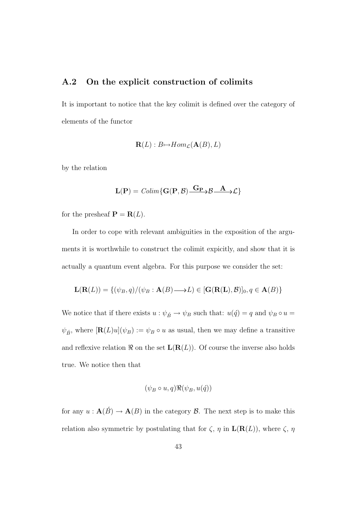#### A.2 On the explicit construction of colimits

It is important to notice that the key colimit is defined over the category of elements of the functor

$$
\mathbf{R}(L): B \rightarrow Hom_{\mathcal{L}}(\mathbf{A}(B), L)
$$

by the relation

$$
\mathbf{L}(\mathbf{P}) = \text{Colim}\{\mathbf{G}(\mathbf{P}, \mathcal{B}) \xrightarrow{\mathbf{G}_{\mathbf{P}}} \mathcal{B} \xrightarrow{\mathbf{A}} \mathcal{L}\}
$$

for the presheaf  $\mathbf{P} = \mathbf{R}(L)$ .

In order to cope with relevant ambiguities in the exposition of the arguments it is worthwhile to construct the colimit expicitly, and show that it is actually a quantum event algebra. For this purpose we consider the set:

$$
\mathbf{L}(\mathbf{R}(L)) = \{ (\psi_B, q) / (\psi_B : \mathbf{A}(B) \longrightarrow L) \in [\mathbf{G}(\mathbf{R}(L), \mathcal{B})]_0, q \in \mathbf{A}(B) \}
$$

We notice that if there exists  $u : \psi_B \to \psi_B$  such that:  $u(\hat{q}) = q$  and  $\psi_B \circ u =$  $\psi_{\vec{B}}$ , where  $[\mathbf{R}(L)u](\psi_B) := \psi_B \circ u$  as usual, then we may define a transitive and reflexive relation  $\Re$  on the set  $\mathbf{L}(\mathbf{R}(L))$ . Of course the inverse also holds true. We notice then that

$$
(\psi_B \circ u, q) \Re(\psi_B, u(\acute{q}))
$$

for any  $u : \mathbf{A}(\acute{B}) \to \mathbf{A}(B)$  in the category  $\mathcal{B}$ . The next step is to make this relation also symmetric by postulating that for  $\zeta$ ,  $\eta$  in  $\mathbf{L}(\mathbf{R}(L))$ , where  $\zeta$ ,  $\eta$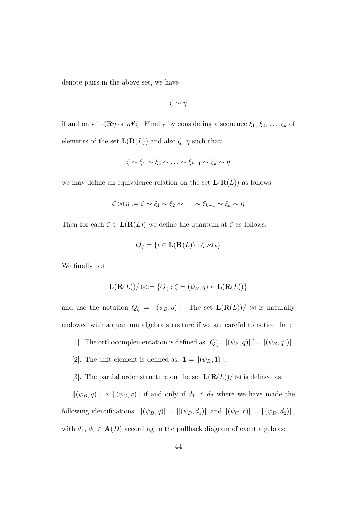denote pairs in the above set, we have:

$$
\zeta \sim \eta
$$

if and only if  $\zeta \Re \eta$  or  $\eta \Re \zeta$ . Finally by considering a sequence  $\xi_1, \xi_2, \ldots, \xi_k$  of elements of the set  $\mathbf{L}(\mathbf{R}(L))$  and also  $\zeta$ ,  $\eta$  such that:

$$
\zeta \sim \xi_1 \sim \xi_2 \sim \ldots \sim \xi_{k-1} \sim \xi_k \sim \eta
$$

we may define an equivalence relation on the set  $\mathbf{L}(\mathbf{R}(L))$  as follows:

$$
\zeta \bowtie \eta := \zeta \sim \xi_1 \sim \xi_2 \sim \ldots \sim \xi_{k-1} \sim \xi_k \sim \eta
$$

Then for each  $\zeta \in \mathbf{L}(\mathbf{R}(L))$  we define the quantum at  $\zeta$  as follows:

$$
Q_{\zeta} = \{ \iota \in \mathbf{L}(\mathbf{R}(L)) : \zeta \bowtie \iota \}
$$

We finally put

$$
\mathbf{L}(\mathbf{R}(L))/\bowtie := \{Q_{\zeta} : \zeta = (\psi_B, q) \in \mathbf{L}(\mathbf{R}(L))\}
$$

and use the notation  $Q_{\zeta} = ||(\psi_B, q)||$ . The set  $\mathbf{L}(\mathbf{R}(L))/\infty$  is naturally endowed with a quantum algebra structure if we are careful to notice that:

- [1]. The orthocomplementation is defined as:  $Q_{\zeta}^* = ||(\psi_B, q)||^* = ||(\psi_B, q^*)||$ .
- [2]. The unit element is defined as:  $\mathbf{1} = ||(\psi_B, 1)||$ .
- [3]. The partial order structure on the set  $\mathbf{L}(\mathbf{R}(L))/\bowtie$  is defined as:

 $\|(\psi_B, q)\| \preceq \|(\psi_C, r)\|$  if and only if  $d_1 \preceq d_2$  where we have made the following identifications:  $\|(\psi_B, q)\| = \|(\psi_D, d_1)\|$  and  $\|(\psi_C, r)\| = \|(\psi_D, d_2)\|$ , with  $d_1, d_2 \in \mathbf{A}(D)$  according to the pullback diagram of event algebras: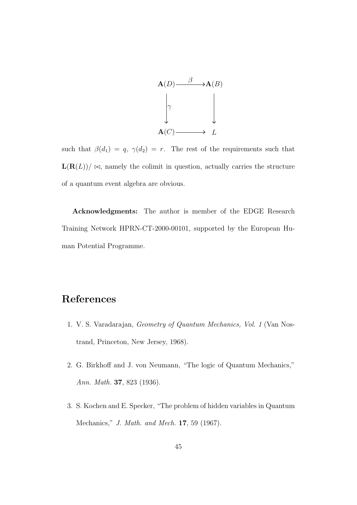

such that  $\beta(d_1) = q, \gamma(d_2) = r$ . The rest of the requirements such that  $\mathbf{L}(\mathbf{R}(L))/\bowtie$ , namely the colimit in question, actually carries the structure of a quantum event algebra are obvious.

Acknowledgments: The author is member of the EDGE Research Training Network HPRN-CT-2000-00101, supported by the European Human Potential Programme.

#### References

- 1. V. S. Varadarajan, Geometry of Quantum Mechanics, Vol. 1 (Van Nostrand, Princeton, New Jersey, 1968).
- 2. G. Birkhoff and J. von Neumann, "The logic of Quantum Mechanics," Ann. Math. 37, 823 (1936).
- 3. S. Kochen and E. Specker, "The problem of hidden variables in Quantum Mechanics," J. Math. and Mech. 17, 59 (1967).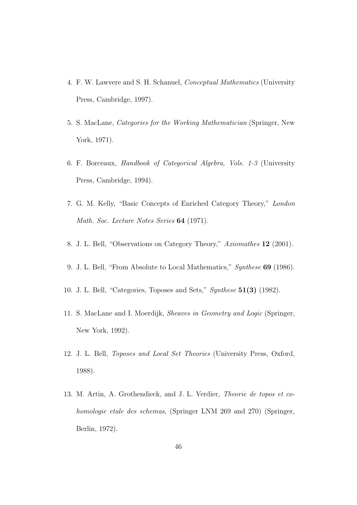- 4. F. W. Lawvere and S. H. Schanuel, Conceptual Mathematics (University Press, Cambridge, 1997).
- 5. S. MacLane, Categories for the Working Mathematician (Springer, New York, 1971).
- 6. F. Borceaux, Handbook of Categorical Algebra, Vols. 1-3 (University Press, Cambridge, 1994).
- 7. G. M. Kelly, "Basic Concepts of Enriched Category Theory," London Math. Soc. Lecture Notes Series 64 (1971).
- 8. J. L. Bell, "Observations on Category Theory," Axiomathes 12 (2001).
- 9. J. L. Bell, "From Absolute to Local Mathematics," Synthese 69 (1986).
- 10. J. L. Bell, "Categories, Toposes and Sets," Synthese 51(3) (1982).
- 11. S. MacLane and I. Moerdijk, Sheaves in Geometry and Logic (Springer, New York, 1992).
- 12. J. L. Bell, Toposes and Local Set Theories (University Press, Oxford, 1988).
- 13. M. Artin, A. Grothendieck, and J. L. Verdier, Theorie de topos et cohomologie etale des schemas, (Springer LNM 269 and 270) (Springer, Berlin, 1972).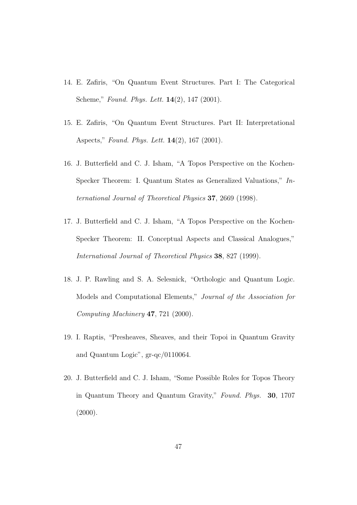- 14. E. Zafiris, "On Quantum Event Structures. Part I: The Categorical Scheme," Found. Phys. Lett. 14(2), 147 (2001).
- 15. E. Zafiris, "On Quantum Event Structures. Part II: Interpretational Aspects," Found. Phys. Lett. 14(2), 167 (2001).
- 16. J. Butterfield and C. J. Isham, "A Topos Perspective on the Kochen-Specker Theorem: I. Quantum States as Generalized Valuations," International Journal of Theoretical Physics 37, 2669 (1998).
- 17. J. Butterfield and C. J. Isham, "A Topos Perspective on the Kochen-Specker Theorem: II. Conceptual Aspects and Classical Analogues," International Journal of Theoretical Physics 38, 827 (1999).
- 18. J. P. Rawling and S. A. Selesnick, "Orthologic and Quantum Logic. Models and Computational Elements," Journal of the Association for Computing Machinery 47, 721 (2000).
- 19. I. Raptis, "Presheaves, Sheaves, and their Topoi in Quantum Gravity and Quantum Logic", gr-qc/0110064.
- 20. J. Butterfield and C. J. Isham, "Some Possible Roles for Topos Theory in Quantum Theory and Quantum Gravity," Found. Phys. 30, 1707  $(2000).$